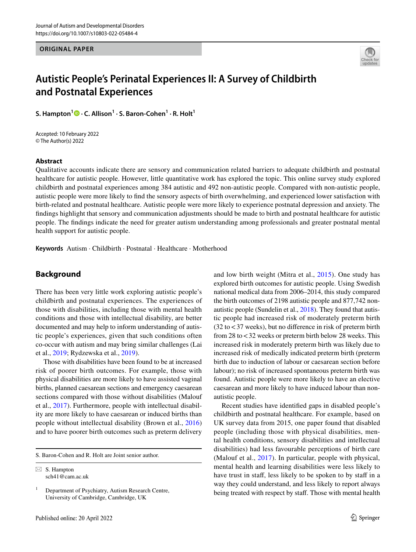**ORIGINAL PAPER**



# **Autistic People's Perinatal Experiences II: A Survey of Childbirth and Postnatal Experiences**

**S. Hampton<sup>1</sup> · C. Allison1 · S. Baron‑Cohen1 · R. Holt1**

Accepted: 10 February 2022 © The Author(s) 2022

## **Abstract**

Qualitative accounts indicate there are sensory and communication related barriers to adequate childbirth and postnatal healthcare for autistic people. However, little quantitative work has explored the topic. This online survey study explored childbirth and postnatal experiences among 384 autistic and 492 non-autistic people. Compared with non-autistic people, autistic people were more likely to fnd the sensory aspects of birth overwhelming, and experienced lower satisfaction with birth-related and postnatal healthcare. Autistic people were more likely to experience postnatal depression and anxiety. The fndings highlight that sensory and communication adjustments should be made to birth and postnatal healthcare for autistic people. The fndings indicate the need for greater autism understanding among professionals and greater postnatal mental health support for autistic people.

**Keywords** Autism · Childbirth · Postnatal · Healthcare · Motherhood

## **Background**

There has been very little work exploring autistic people's childbirth and postnatal experiences. The experiences of those with disabilities, including those with mental health conditions and those with intellectual disability, are better documented and may help to inform understanding of autistic people's experiences, given that such conditions often co-occur with autism and may bring similar challenges (Lai et al., [2019;](#page-13-0) Rydzewska et al., [2019\)](#page-13-1).

Those with disabilities have been found to be at increased risk of poorer birth outcomes. For example, those with physical disabilities are more likely to have assisted vaginal births, planned caesarean sections and emergency caesarean sections compared with those without disabilities (Malouf et al., [2017](#page-13-2)). Furthermore, people with intellectual disability are more likely to have caesarean or induced births than people without intellectual disability (Brown et al., [2016\)](#page-13-3) and to have poorer birth outcomes such as preterm delivery

S. Baron-Cohen and R. Holt are Joint senior author.

 $\boxtimes$  S. Hampton sch41@cam.ac.uk

 $1$  Department of Psychiatry, Autism Research Centre, University of Cambridge, Cambridge, UK

and low birth weight (Mitra et al., [2015\)](#page-13-4). One study has explored birth outcomes for autistic people. Using Swedish national medical data from 2006–2014, this study compared the birth outcomes of 2198 autistic people and 877,742 nonautistic people (Sundelin et al., [2018\)](#page-14-0). They found that autistic people had increased risk of moderately preterm birth  $(32 \text{ to } < 37 \text{ weeks})$ , but no difference in risk of preterm birth from 28 to<32 weeks or preterm birth below 28 weeks. This increased risk in moderately preterm birth was likely due to increased risk of medically indicated preterm birth (preterm birth due to induction of labour or caesarean section before labour); no risk of increased spontaneous preterm birth was found. Autistic people were more likely to have an elective caesarean and more likely to have induced labour than nonautistic people.

Recent studies have identifed gaps in disabled people's childbirth and postnatal healthcare. For example, based on UK survey data from 2015, one paper found that disabled people (including those with physical disabilities, mental health conditions, sensory disabilities and intellectual disabilities) had less favourable perceptions of birth care (Malouf et al., [2017\)](#page-13-2). In particular, people with physical, mental health and learning disabilities were less likely to have trust in staff, less likely to be spoken to by staff in a way they could understand, and less likely to report always being treated with respect by staff. Those with mental health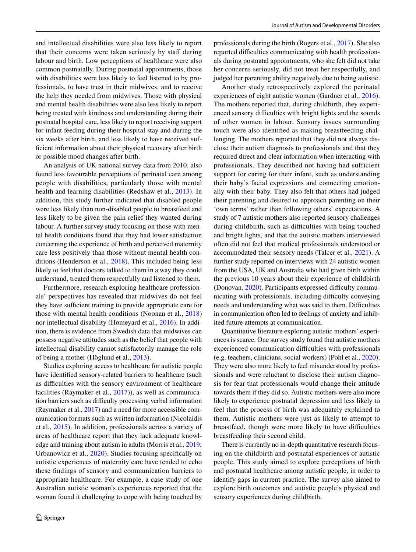and intellectual disabilities were also less likely to report that their concerns were taken seriously by staff during labour and birth. Low perceptions of healthcare were also common postnatally. During postnatal appointments, those with disabilities were less likely to feel listened to by professionals, to have trust in their midwives, and to receive the help they needed from midwives. Those with physical and mental health disabilities were also less likely to report being treated with kindness and understanding during their postnatal hospital care, less likely to report receiving support for infant feeding during their hospital stay and during the six weeks after birth, and less likely to have received sufficient information about their physical recovery after birth or possible mood changes after birth.

An analysis of UK national survey data from 2010, also found less favourable perceptions of perinatal care among people with disabilities, particularly those with mental health and learning disabilities (Redshaw et al., [2013\)](#page-13-5). In addition, this study further indicated that disabled people were less likely than non-disabled people to breastfeed and less likely to be given the pain relief they wanted during labour. A further survey study focusing on those with mental health conditions found that they had lower satisfaction concerning the experience of birth and perceived maternity care less positively than those without mental health conditions (Henderson et al., [2018](#page-13-6)). This included being less likely to feel that doctors talked to them in a way they could understand, treated them respectfully and listened to them.

Furthermore, research exploring healthcare professionals' perspectives has revealed that midwives do not feel they have sufficient training to provide appropriate care for those with mental health conditions (Noonan et al., [2018\)](#page-13-7) nor intellectual disability (Homeyard et al., [2016\)](#page-13-8). In addition, there is evidence from Swedish data that midwives can possess negative attitudes such as the belief that people with intellectual disability cannot satisfactorily manage the role of being a mother (Höglund et al., [2013\)](#page-13-9).

Studies exploring access to healthcare for autistic people have identifed sensory-related barriers to healthcare (such as difficulties with the sensory environment of healthcare facilities (Raymaker et al., [2017\)](#page-13-10)), as well as communication barriers such as difficulty processing verbal information (Raymaker et al., [2017](#page-13-10)) and a need for more accessible communication formats such as written information (Nicolaidis et al., [2015](#page-13-11)). In addition, professionals across a variety of areas of healthcare report that they lack adequate knowledge and training about autism in adults (Morris et al., [2019](#page-13-12); Urbanowicz et al., [2020\)](#page-14-1). Studies focusing specifcally on autistic experiences of maternity care have tended to echo these fndings of sensory and communication barriers to appropriate healthcare. For example, a case study of one Australian autistic woman's experiences reported that the woman found it challenging to cope with being touched by professionals during the birth (Rogers et al., [2017\)](#page-13-13). She also reported difficulties communicating with health professionals during postnatal appointments, who she felt did not take her concerns seriously, did not treat her respectfully, and judged her parenting ability negatively due to being autistic.

Another study retrospectively explored the perinatal experiences of eight autistic women (Gardner et al., [2016](#page-13-14)). The mothers reported that, during childbirth, they experienced sensory difficulties with bright lights and the sounds of other women in labour. Sensory issues surrounding touch were also identifed as making breastfeeding challenging. The mothers reported that they did not always disclose their autism diagnosis to professionals and that they required direct and clear information when interacting with professionals. They described not having had sufficient support for caring for their infant, such as understanding their baby's facial expressions and connecting emotionally with their baby. They also felt that others had judged their parenting and desired to approach parenting on their 'own terms' rather than following others' expectations. A study of 7 autistic mothers also reported sensory challenges during childbirth, such as difficulties with being touched and bright lights, and that the autistic mothers interviewed often did not feel that medical professionals understood or accommodated their sensory needs (Talcer et al., [2021](#page-14-2)). A further study reported on interviews with 24 autistic women from the USA, UK and Australia who had given birth within the previous 10 years about their experience of childbirth (Donovan,  $2020$ ). Participants expressed difficulty communicating with professionals, including difficulty conveying needs and understanding what was said to them. Difficulties in communication often led to feelings of anxiety and inhibited future attempts at communication.

Quantitative literature exploring autistic mothers' experiences is scarce. One survey study found that autistic mothers experienced communication difficulties with professionals (e.g. teachers, clinicians, social workers) (Pohl et al., [2020](#page-13-16)). They were also more likely to feel misunderstood by professionals and were reluctant to disclose their autism diagnosis for fear that professionals would change their attitude towards them if they did so. Autistic mothers were also more likely to experience postnatal depression and less likely to feel that the process of birth was adequately explained to them. Autistic mothers were just as likely to attempt to breastfeed, though were more likely to have difficulties breastfeeding their second child.

There is currently no in-depth quantitative research focusing on the childbirth and postnatal experiences of autistic people. This study aimed to explore perceptions of birth and postnatal healthcare among autistic people, in order to identify gaps in current practice. The survey also aimed to explore birth outcomes and autistic people's physical and sensory experiences during childbirth.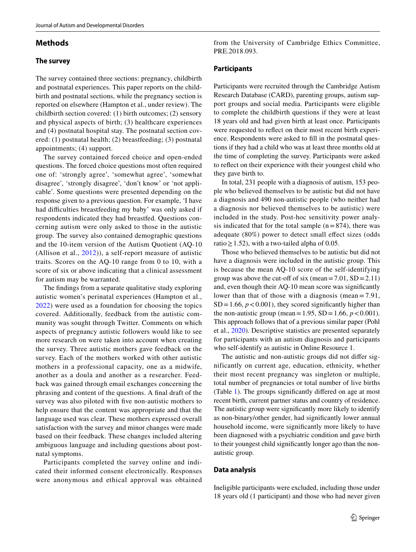## **Methods**

## **The survey**

The survey contained three sections: pregnancy, childbirth and postnatal experiences. This paper reports on the childbirth and postnatal sections, while the pregnancy section is reported on elsewhere (Hampton et al., under review). The childbirth section covered: (1) birth outcomes; (2) sensory and physical aspects of birth; (3) healthcare experiences and (4) postnatal hospital stay. The postnatal section covered: (1) postnatal health; (2) breastfeeding; (3) postnatal appointments; (4) support.

The survey contained forced choice and open-ended questions. The forced choice questions most often required one of: 'strongly agree', 'somewhat agree', 'somewhat disagree', 'strongly disagree', 'don't know' or 'not applicable'. Some questions were presented depending on the response given to a previous question. For example, 'I have had difficulties breastfeeding my baby' was only asked if respondents indicated they had breastfed. Questions concerning autism were only asked to those in the autistic group. The survey also contained demographic questions and the 10-item version of the Autism Quotient (AQ-10 (Allison et al., [2012](#page-13-17))), a self-report measure of autistic traits. Scores on the AQ-10 range from 0 to 10, with a score of six or above indicating that a clinical assessment for autism may be warranted.

The fndings from a separate qualitative study exploring autistic women's perinatal experiences (Hampton et al., [2022](#page-13-18)) were used as a foundation for choosing the topics covered. Additionally, feedback from the autistic community was sought through Twitter. Comments on which aspects of pregnancy autistic followers would like to see more research on were taken into account when creating the survey. Three autistic mothers gave feedback on the survey. Each of the mothers worked with other autistic mothers in a professional capacity, one as a midwife, another as a doula and another as a researcher. Feedback was gained through email exchanges concerning the phrasing and content of the questions. A fnal draft of the survey was also piloted with fve non-autistic mothers to help ensure that the content was appropriate and that the language used was clear. These mothers expressed overall satisfaction with the survey and minor changes were made based on their feedback. These changes included altering ambiguous language and including questions about postnatal symptoms.

Participants completed the survey online and indicated their informed consent electronically. Responses were anonymous and ethical approval was obtained from the University of Cambridge Ethics Committee, PRE.2018.093.

## **Participants**

Participants were recruited through the Cambridge Autism Research Database (CARD), parenting groups, autism support groups and social media. Participants were eligible to complete the childbirth questions if they were at least 18 years old and had given birth at least once. Participants were requested to refect on their most recent birth experience. Respondents were asked to fll in the postnatal questions if they had a child who was at least three months old at the time of completing the survey. Participants were asked to refect on their experience with their youngest child who they gave birth to.

In total, 231 people with a diagnosis of autism, 153 people who believed themselves to be autistic but did not have a diagnosis and 490 non-autistic people (who neither had a diagnosis nor believed themselves to be autistic) were included in the study. Post-hoc sensitivity power analysis indicated that for the total sample  $(n=874)$ , there was adequate (80%) power to detect small effect sizes (odds ratio  $\geq$  1.52), with a two-tailed alpha of 0.05.

Those who believed themselves to be autistic but did not have a diagnosis were included in the autistic group. This is because the mean AQ-10 score of the self-identifying group was above the cut-off of six (mean=7.01,  $SD = 2.11$ ) and, even though their AQ-10 mean score was signifcantly lower than that of those with a diagnosis (mean  $= 7.91$ ,  $SD = 1.66$ ,  $p < 0.001$ ), they scored significantly higher than the non-autistic group (mean = 1.95, SD = 1.66,  $p < 0.001$ ). This approach follows that of a previous similar paper (Pohl et al., [2020](#page-13-16)). Descriptive statistics are presented separately for participants with an autism diagnosis and participants who self-identify as autistic in Online Resource 1.

The autistic and non-autistic groups did not difer significantly on current age, education, ethnicity, whether their most recent pregnancy was singleton or multiple, total number of pregnancies or total number of live births (Table [1](#page-3-0)). The groups signifcantly difered on age at most recent birth, current partner status and country of residence. The autistic group were signifcantly more likely to identify as non-binary/other gender, had signifcantly lower annual household income, were signifcantly more likely to have been diagnosed with a psychiatric condition and gave birth to their youngest child signifcantly longer ago than the nonautistic group.

## **Data analysis**

Ineligible participants were excluded, including those under 18 years old (1 participant) and those who had never given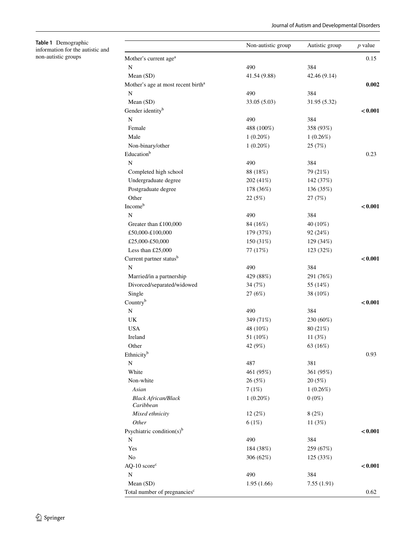<span id="page-3-0"></span>

| Table 1 Demographic              |
|----------------------------------|
| information for the autistic and |
| non-autistic groups              |

|                                                | Non-autistic group | Autistic group | $p$ value |
|------------------------------------------------|--------------------|----------------|-----------|
| Mother's current age <sup>a</sup>              |                    |                | 0.15      |
| N                                              | 490                | 384            |           |
| Mean (SD)                                      | 41.54 (9.88)       | 42.46 (9.14)   |           |
| Mother's age at most recent birth <sup>a</sup> |                    |                | 0.002     |
| N                                              | 490                | 384            |           |
| Mean (SD)                                      | 33.05 (5.03)       | 31.95 (5.32)   |           |
| Gender identity <sup>b</sup>                   |                    |                | < 0.001   |
| ${\bf N}$                                      | 490                | 384            |           |
| Female                                         | 488 (100%)         | 358 (93%)      |           |
| Male                                           | $1(0.20\%)$        | 1(0.26%)       |           |
| Non-binary/other                               | $1(0.20\%)$        | 25 (7%)        |           |
| Education <sup>b</sup>                         |                    |                | 0.23      |
| $\mathbf N$                                    | 490                | 384            |           |
| Completed high school                          | 88 (18%)           | 79 (21%)       |           |
| Undergraduate degree                           | 202 (41%)          | 142 (37%)      |           |
| Postgraduate degree                            | 178 (36%)          | 136 (35%)      |           |
| Other                                          | 22 (5%)            | 27 (7%)        |           |
| Incomeb                                        |                    |                | < 0.001   |
| N                                              | 490                | 384            |           |
| Greater than £100,000                          | 84 (16%)           | 40 (10%)       |           |
| £50,000-£100,000                               | 179 (37%)          | 92 (24%)       |           |
| £25,000-£50,000                                | 150 (31%)          | 129 (34%)      |           |
| Less than £25,000                              | 77 (17%)           | 123 (32%)      |           |
| Current partner status <sup>b</sup>            |                    |                | < 0.001   |
| $\mathbf N$                                    | 490                | 384            |           |
| Married/in a partnership                       | 429 (88%)          | 291 (76%)      |           |
| Divorced/separated/widowed                     | 34 (7%)            | 55 (14%)       |           |
| Single                                         | 27(6%)             | 38 (10%)       |           |
| Countryb                                       |                    |                | < 0.001   |
| N                                              | 490                | 384            |           |
| UK                                             | 349 (71%)          | 230 (60%)      |           |
| <b>USA</b>                                     | 48 (10%)           | 80 (21%)       |           |
| Ireland                                        | 51 (10%)           | 11 $(3%)$      |           |
| Other                                          | 42 (9%)            | 63 (16%)       |           |
| Ethnicity <sup>b</sup>                         |                    |                | 0.93      |
| N                                              | 487                | 381            |           |
| White                                          | 461 (95%)          | 361 (95%)      |           |
| Non-white                                      | 26(5%)             | 20 (5%)        |           |
| Asian                                          | 7(1%)              | 1(0.26%)       |           |
| <b>Black African/Black</b><br>Caribbean        | $1(0.20\%)$        | $0(0\%)$       |           |
| Mixed ethnicity                                | 12(2%)             | 8(2%)          |           |
| Other                                          | 6(1%)              | 11 $(3%)$      |           |
| Psychiatric condition(s) $b$                   |                    |                | < 0.001   |
| N                                              | 490                | 384            |           |
| Yes                                            | 184 (38%)          | 259 (67%)      |           |
| No                                             | 306 (62%)          | 125 (33%)      |           |
| $AQ-10 scorec$                                 |                    |                | < 0.001   |
| N                                              | 490                | 384            |           |
| Mean (SD)                                      | 1.95(1.66)         | 7.55(1.91)     |           |
| Total number of pregnancies <sup>c</sup>       |                    |                | 0.62      |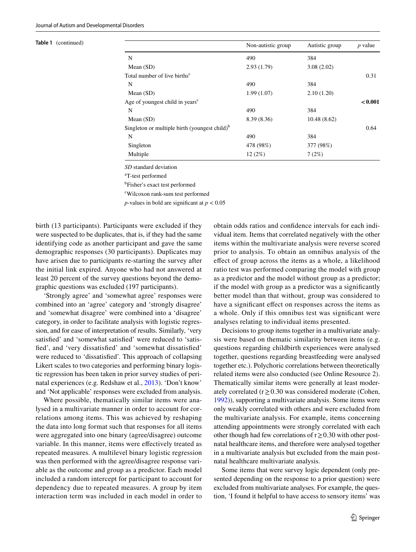|                                                  | Non-autistic group | Autistic group | $p$ value |
|--------------------------------------------------|--------------------|----------------|-----------|
| N                                                | 490                | 384            |           |
| Mean $(SD)$                                      | 2.93(1.79)         | 3.08(2.02)     |           |
| Total number of live births <sup>c</sup>         |                    |                | 0.31      |
| N                                                | 490                | 384            |           |
| Mean $(SD)$                                      | 1.99(1.07)         | 2.10(1.20)     |           |
| Age of youngest child in years <sup>c</sup>      |                    |                | < 0.001   |
| N                                                | 490                | 384            |           |
| Mean $(SD)$                                      | 8.39 (8.36)        | 10.48(8.62)    |           |
| Singleton or multiple birth (youngest child) $b$ |                    |                | 0.64      |
| N                                                | 490                | 384            |           |
| Singleton                                        | 478 (98%)          | 377 (98%)      |           |
| Multiple                                         | 12(2%)             | 7(2%)          |           |
|                                                  |                    |                |           |

*SD* standard deviation

a T-test performed

b Fisher's exact test performed

c Wilcoxon rank-sum test performed

*p*-values in bold are significant at  $p < 0.05$ 

birth (13 participants). Participants were excluded if they were suspected to be duplicates, that is, if they had the same identifying code as another participant and gave the same demographic responses (30 participants). Duplicates may have arisen due to participants re-starting the survey after the initial link expired. Anyone who had not answered at least 20 percent of the survey questions beyond the demographic questions was excluded (197 participants).

'Strongly agree' and 'somewhat agree' responses were combined into an 'agree' category and 'strongly disagree' and 'somewhat disagree' were combined into a 'disagree' category, in order to facilitate analysis with logistic regression, and for ease of interpretation of results. Similarly, 'very satisfed' and 'somewhat satisfed' were reduced to 'satisfed', and 'very dissatisfed' and 'somewhat dissatisfed' were reduced to 'dissatisfed'. This approach of collapsing Likert scales to two categories and performing binary logistic regression has been taken in prior survey studies of perinatal experiences (e.g. Redshaw et al., [2013\)](#page-13-5). 'Don't know' and 'Not applicable' responses were excluded from analysis.

Where possible, thematically similar items were analysed in a multivariate manner in order to account for correlations among items. This was achieved by reshaping the data into long format such that responses for all items were aggregated into one binary (agree/disagree) outcome variable. In this manner, items were efectively treated as repeated measures. A multilevel binary logistic regression was then performed with the agree/disagree response variable as the outcome and group as a predictor. Each model included a random intercept for participant to account for dependency due to repeated measures. A group by item interaction term was included in each model in order to obtain odds ratios and confdence intervals for each individual item. Items that correlated negatively with the other items within the multivariate analysis were reverse scored prior to analysis. To obtain an omnibus analysis of the efect of group across the items as a whole, a likelihood ratio test was performed comparing the model with group as a predictor and the model without group as a predictor; if the model with group as a predictor was a signifcantly better model than that without, group was considered to have a significant effect on responses across the items as a whole. Only if this omnibus test was signifcant were analyses relating to individual items presented.

Decisions to group items together in a multivariate analysis were based on thematic similarity between items (e.g. questions regarding childbirth experiences were analysed together, questions regarding breastfeeding were analysed together etc.). Polychoric correlations between theoretically related items were also conducted (see Online Resource 2). Thematically similar items were generally at least moderately correlated ( $r \ge 0.30$  was considered moderate (Cohen, [1992](#page-13-19))), supporting a multivariate analysis. Some items were only weakly correlated with others and were excluded from the multivariate analysis. For example, items concerning attending appointments were strongly correlated with each other though had few correlations of  $r \geq 0.30$  with other postnatal healthcare items, and therefore were analysed together in a multivariate analysis but excluded from the main postnatal healthcare multivariate analysis.

Some items that were survey logic dependent (only presented depending on the response to a prior question) were excluded from multivariate analyses. For example, the question, 'I found it helpful to have access to sensory items' was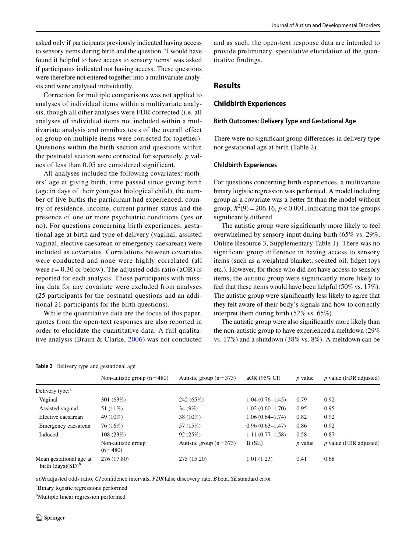asked only if participants previously indicated having access to sensory items during birth and the question, 'I would have found it helpful to have access to sensory items' was asked if participants indicated not having access. These questions were therefore not entered together into a multivariate analysis and were analysed individually.

Correction for multiple comparisons was not applied to analyses of individual items within a multivariate analysis, though all other analyses were FDR corrected (i.e. all analyses of individual items not included within a multivariate analysis and omnibus tests of the overall effect on group on multiple items were corrected for together). Questions within the birth section and questions within the postnatal section were corrected for separately. *p* values of less than 0.05 are considered significant.

All analyses included the following covariates: mothers' age at giving birth, time passed since giving birth (age in days of their youngest biological child), the number of live births the participant had experienced, country of residence, income, current partner status and the presence of one or more psychiatric conditions (yes or no). For questions concerning birth experiences, gestational age at birth and type of delivery (vaginal, assisted vaginal, elective caesarean or emergency caesarean) were included as covariates. Correlations between covariates were conducted and none were highly correlated (all were  $r = 0.30$  or below). The adjusted odds ratio (aOR) is reported for each analysis. Those participants with missing data for any covariate were excluded from analyses (25 participants for the postnatal questions and an additional 21 participants for the birth questions).

While the quantitative data are the focus of this paper, quotes from the open-text responses are also reported in order to elucidate the quantitative data. A full qualitative analysis (Braun & Clarke, [2006](#page-13-20)) was not conducted and as such, the open-text response data are intended to provide preliminary, speculative elucidation of the quantitative findings.

## **Results**

## **Childbirth Experiences**

#### **Birth Outcomes: Delivery Type and Gestational Age**

There were no signifcant group diferences in delivery type nor gestational age at birth (Table [2\)](#page-5-0).

#### **Childbirth Experiences**

For questions concerning birth experiences, a multivariate binary logistic regression was performed. A model including group as a covariate was a better ft than the model without group,  $X^2(9) = 206.16$ ,  $p < 0.001$ , indicating that the groups signifcantly difered.

The autistic group were signifcantly more likely to feel overwhelmed by sensory input during birth (65% vs. 29%; Online Resource 3, Supplementary Table 1). There was no signifcant group diference in having access to sensory items (such as a weighted blanket, scented oil, fdget toys etc.). However, for those who did not have access to sensory items, the autistic group were signifcantly more likely to feel that these items would have been helpful (50% vs. 17%). The autistic group were signifcantly less likely to agree that they felt aware of their body's signals and how to correctly interpret them during birth (52% vs. 65%).

The autistic group were also signifcantly more likely than the non-autistic group to have experienced a meltdown (29% vs. 17%) and a shutdown (38% vs. 8%). A meltdown can be

<span id="page-5-0"></span>

|  |  |  |  | Table 2 Delivery type and gestational age |  |
|--|--|--|--|-------------------------------------------|--|
|--|--|--|--|-------------------------------------------|--|

|                                                 | Non-autistic group $(n=480)$    | Autistic group $(n=373)$ | aOR (95% CI)        | <i>p</i> value | $p$ value (FDR adjusted) |
|-------------------------------------------------|---------------------------------|--------------------------|---------------------|----------------|--------------------------|
| Delivery type: <sup>a</sup>                     |                                 |                          |                     |                |                          |
| Vaginal                                         | 301 (63%)                       | 242 (65%)                | $1.04(0.76 - 1.45)$ | 0.79           | 0.92                     |
| Assisted vaginal                                | 51 (11%)                        | 34 (9%)                  | $1.02(0.60-1.70)$   | 0.95           | 0.95                     |
| Elective caesarean                              | 49 (10%)                        | 38 (10%)                 | $1.06(0.64 - 1.74)$ | 0.82           | 0.92                     |
| Emergency caesarean                             | 76 (16%)                        | 57 (15%)                 | $0.96(0.63 - 1.47)$ | 0.86           | 0.92                     |
| Induced                                         | 108 (23%)                       | 92(25%)                  | $1.11(0.77-1.58)$   | 0.58           | 0.87                     |
|                                                 | Non-autistic group<br>$(n=480)$ | Autistic group $(n=373)$ | B(SE)               | <i>p</i> value | $p$ value (FDR adjusted) |
| Mean gestational age at<br>birth $(days)(SD)^b$ | 276 (17.80)                     | 275 (15.20)              | 1.01(1.23)          | 0.41           | 0.68                     |

*aOR*adjusted odds ratio, *CI* confdence intervals, *FDR*false discovery rate, *B*beta, *SE*standard error

a Binary logistic regressions performed

<sup>b</sup>Multiple linear regression performed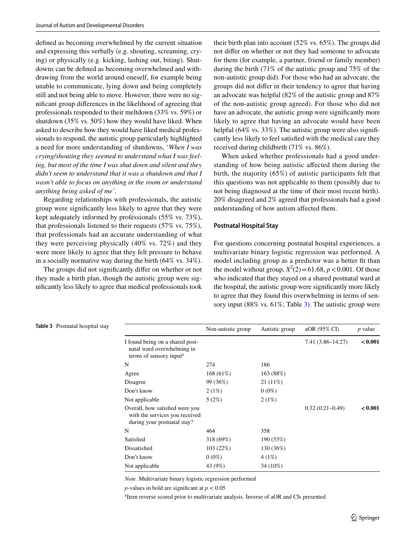defned as becoming overwhelmed by the current situation and expressing this verbally (e.g. shouting, screaming, crying) or physically (e.g. kicking, lashing out, biting). Shutdowns can be defned as becoming overwhelmed and withdrawing from the world around oneself, for example being unable to communicate, lying down and being completely still and not being able to move. However, there were no signifcant group diferences in the likelihood of agreeing that professionals responded to their meltdown (33% vs. 59%) or shutdown (35% vs. 50%) how they would have liked. When asked to describe how they would have liked medical professionals to respond, the autistic group particularly highlighted a need for more understanding of shutdowns, '*When I was crying/shouting they seemed to understand what I was feeling, but most of the time I was shut down and silent and they didn't seem to understand that it was a shutdown and that I wasn't able to focus on anything in the room or understand anything being asked of me'*.

Regarding relationships with professionals, the autistic group were signifcantly less likely to agree that they were kept adequately informed by professionals (55% vs. 73%), that professionals listened to their requests (57% vs. 75%), that professionals had an accurate understanding of what they were perceiving physically (40% vs. 72%) and they were more likely to agree that they felt pressure to behave in a socially normative way during the birth (64% vs. 34%).

The groups did not signifcantly difer on whether or not they made a birth plan, though the autistic group were signifcantly less likely to agree that medical professionals took their birth plan into account (52% vs. 65%). The groups did not difer on whether or not they had someone to advocate for them (for example, a partner, friend or family member) during the birth (71% of the autistic group and 75% of the non-autistic group did). For those who had an advocate, the groups did not difer in their tendency to agree that having an advocate was helpful (82% of the autistic group and 87% of the non-autistic group agreed). For those who did not have an advocate, the autistic group were significantly more likely to agree that having an advocate would have been helpful (64% vs. 33%). The autistic group were also significantly less likely to feel satisfed with the medical care they received during childbirth (71% vs. 86%).

When asked whether professionals had a good understanding of how being autistic afected them during the birth, the majority (65%) of autistic participants felt that this questions was not applicable to them (possibly due to not being diagnosed at the time of their most recent birth). 20% disagreed and 2% agreed that professionals had a good understanding of how autism afected them.

#### **Postnatal Hospital Stay**

For questions concerning postnatal hospital experiences, a multivariate binary logistic regression was performed. A model including group as a predictor was a better ft than the model without group,  $X^2(2) = 61.68$ ,  $p < 0.001$ . Of those who indicated that they stayed on a shared postnatal ward at the hospital, the autistic group were signifcantly more likely to agree that they found this overwhelming in terms of sen-sory input (88% vs. 61%; Table [3](#page-6-0)). The autistic group were

|                                                                                                      | Non-autistic group | Autistic group | aOR (95% CI)         | $p$ value |
|------------------------------------------------------------------------------------------------------|--------------------|----------------|----------------------|-----------|
| I found being on a shared post-<br>natal ward overwhelming in<br>terms of sensory input <sup>a</sup> |                    |                | $7.41(3.86 - 14.27)$ | < 0.001   |
| N                                                                                                    | 274                | 186            |                      |           |
| Agree                                                                                                | 168 (61%)          | 163 (88%)      |                      |           |
| Disagree                                                                                             | 99 (36%)           | $21(11\%)$     |                      |           |
| Don't know                                                                                           | 2(1%)              | $0(0\%)$       |                      |           |
| Not applicable                                                                                       | 5(2%)              | 2(1%)          |                      |           |
| Overall, how satisfied were you<br>with the services you received<br>during your postnatal stay?     |                    |                | $0.32(0.21 - 0.49)$  | < 0.001   |
| N                                                                                                    | 464                | 358            |                      |           |
| Satisfied                                                                                            | 318 (69%)          | 190 (53%)      |                      |           |
| Dissatisfied                                                                                         | 103(22%)           | 130 (36%)      |                      |           |
| Don't know                                                                                           | $0(0\%)$           | 4(1%)          |                      |           |
| Not applicable                                                                                       | 43 (9%)            | 34 (10%)       |                      |           |
|                                                                                                      |                    |                |                      |           |

*Note.* Multivariate binary logistic regression performed

*p*-values in bold are significant at  $p < 0.05$ 

a Item reverse scored prior to multivariate analysis. Inverse of aOR and CIs presented

#### <span id="page-6-0"></span>**Table 3** Postnatal hospital stay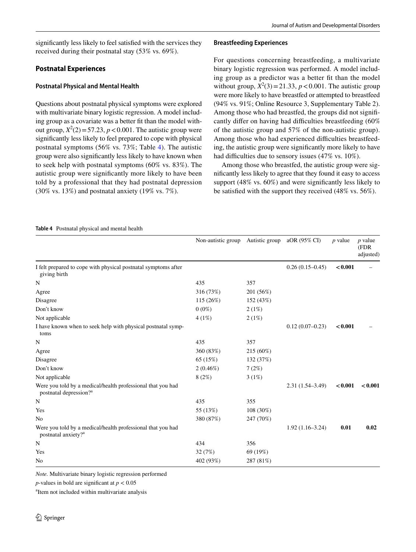## **Postnatal Experiences**

## **Postnatal Physical and Mental Health**

Questions about postnatal physical symptoms were explored with multivariate binary logistic regression. A model including group as a covariate was a better ft than the model without group,  $X^2(2) = 57.23$ ,  $p < 0.001$ . The autistic group were signifcantly less likely to feel prepared to cope with physical postnatal symptoms (56% vs. 73%; Table [4](#page-7-0)). The autistic group were also signifcantly less likely to have known when to seek help with postnatal symptoms (60% vs. 83%). The autistic group were signifcantly more likely to have been told by a professional that they had postnatal depression (30% vs. 13%) and postnatal anxiety (19% vs. 7%).

## **Breastfeeding Experiences**

For questions concerning breastfeeding, a multivariate binary logistic regression was performed. A model including group as a predictor was a better ft than the model without group,  $X^2(3) = 21.33$ ,  $p < 0.001$ . The autistic group were more likely to have breastfed or attempted to breastfeed (94% vs. 91%; Online Resource 3, Supplementary Table 2). Among those who had breastfed, the groups did not signifcantly differ on having had difficulties breastfeeding (60%) of the autistic group and 57% of the non-autistic group). Among those who had experienced difficulties breastfeeding, the autistic group were signifcantly more likely to have had difficulties due to sensory issues (47% vs. 10%).

Among those who breastfed, the autistic group were signifcantly less likely to agree that they found it easy to access support (48% vs. 60%) and were signifcantly less likely to be satisfed with the support they received (48% vs. 56%).

#### <span id="page-7-0"></span>**Table 4** Postnatal physical and mental health

|                                                                                                   | Non-autistic group | Autistic group | aOR (95% CI)        | $p$ value | $p$ value<br>(FDR<br>adjusted) |
|---------------------------------------------------------------------------------------------------|--------------------|----------------|---------------------|-----------|--------------------------------|
| I felt prepared to cope with physical postnatal symptoms after<br>giving birth                    |                    |                | $0.26(0.15-0.45)$   | < 0.001   |                                |
| N                                                                                                 | 435                | 357            |                     |           |                                |
| Agree                                                                                             | 316 (73%)          | 201 (56%)      |                     |           |                                |
| Disagree                                                                                          | 115 (26%)          | 152 (43%)      |                     |           |                                |
| Don't know                                                                                        | $0(0\%)$           | 2(1%)          |                     |           |                                |
| Not applicable                                                                                    | 4(1%)              | 2(1%)          |                     |           |                                |
| I have known when to seek help with physical postnatal symp-<br>toms                              |                    |                | $0.12(0.07-0.23)$   | < 0.001   |                                |
| N                                                                                                 | 435                | 357            |                     |           |                                |
| Agree                                                                                             | 360 (83%)          | 215 (60%)      |                     |           |                                |
| Disagree                                                                                          | 65 (15%)           | 132 (37%)      |                     |           |                                |
| Don't know                                                                                        | $2(0.46\%)$        | 7(2%)          |                     |           |                                |
| Not applicable                                                                                    | 8(2%)              | 3(1%)          |                     |           |                                |
| Were you told by a medical/health professional that you had<br>postnatal depression? <sup>a</sup> |                    |                | $2.31(1.54 - 3.49)$ | < 0.001   | < 0.001                        |
| $\mathbf N$                                                                                       | 435                | 355            |                     |           |                                |
| Yes                                                                                               | 55 (13%)           | 108 (30%)      |                     |           |                                |
| N <sub>0</sub>                                                                                    | 380 (87%)          | 247 (70%)      |                     |           |                                |
| Were you told by a medical/health professional that you had<br>postnatal anxiety? <sup>a</sup>    |                    |                | $1.92(1.16-3.24)$   | 0.01      | 0.02                           |
| N                                                                                                 | 434                | 356            |                     |           |                                |
| Yes                                                                                               | 32(7%)             | 69 (19%)       |                     |           |                                |
| N <sub>0</sub>                                                                                    | 402 (93%)          | 287 (81%)      |                     |           |                                |
|                                                                                                   |                    |                |                     |           |                                |

*Note.* Multivariate binary logistic regression performed

*p*-values in bold are significant at  $p < 0.05$ 

a Item not included within multivariate analysis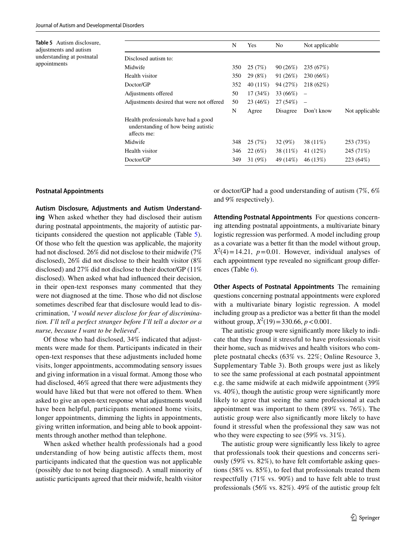<span id="page-8-0"></span>**Table 5** Autism disclosure, adjustments and autism understanding at postnatal appointments

|                                                                                            | N   | Yes         | N <sub>0</sub> | Not applicable           |                |
|--------------------------------------------------------------------------------------------|-----|-------------|----------------|--------------------------|----------------|
| Disclosed autism to:                                                                       |     |             |                |                          |                |
| Midwife                                                                                    | 350 | 25(7%)      | 90(26%)        | 235 (67%)                |                |
| Health visitor                                                                             | 350 | 29 (8%)     | 91 (26%)       | 230 (66%)                |                |
| Doctor/GP                                                                                  | 352 | 40 $(11\%)$ | 94 (27%)       | 218 (62%)                |                |
| Adjustments offered                                                                        | 50  | 17(34%)     | 33 (66%)       | -                        |                |
| Adjustments desired that were not offered                                                  | 50  | 23 (46%)    | 27 (54%)       | $\overline{\phantom{0}}$ |                |
|                                                                                            | N   | Agree       | Disagree       | Don't know               | Not applicable |
| Health professionals have had a good<br>understanding of how being autistic<br>affects me: |     |             |                |                          |                |
| Midwife                                                                                    | 348 | 25(7%)      | 32 (9%)        | 38 (11%)                 | 253 (73%)      |
| Health visitor                                                                             | 346 | 22(6%)      | 38 (11%)       | 41 (12%)                 | 245 (71%)      |
| Doctor/GP                                                                                  | 349 | 31 (9%)     | 49 (14%)       | 46 (13%)                 | 223 (64%)      |
|                                                                                            |     |             |                |                          |                |

#### **Postnatal Appointments**

**Autism Disclosure, Adjustments and Autism Understanding** When asked whether they had disclosed their autism during postnatal appointments, the majority of autistic participants considered the question not applicable (Table [5](#page-8-0)). Of those who felt the question was applicable, the majority had not disclosed. 26% did not disclose to their midwife (7% disclosed), 26% did not disclose to their health visitor (8% disclosed) and 27% did not disclose to their doctor/GP (11% disclosed). When asked what had infuenced their decision, in their open-text responses many commented that they were not diagnosed at the time. Those who did not disclose sometimes described fear that disclosure would lead to discrimination, '*I would never disclose for fear of discrimination. I'll tell a perfect stranger before I'll tell a doctor or a nurse, because I want to be believed*'.

Of those who had disclosed, 34% indicated that adjustments were made for them. Participants indicated in their open-text responses that these adjustments included home visits, longer appointments, accommodating sensory issues and giving information in a visual format. Among those who had disclosed, 46% agreed that there were adjustments they would have liked but that were not offered to them. When asked to give an open-text response what adjustments would have been helpful, participants mentioned home visits, longer appointments, dimming the lights in appointments, giving written information, and being able to book appointments through another method than telephone.

When asked whether health professionals had a good understanding of how being autistic affects them, most participants indicated that the question was not applicable (possibly due to not being diagnosed). A small minority of autistic participants agreed that their midwife, health visitor

or doctor/GP had a good understanding of autism (7%, 6% and 9% respectively).

**Attending Postnatal Appointments** For questions concerning attending postnatal appointments, a multivariate binary logistic regression was performed. A model including group as a covariate was a better ft than the model without group,  $X^2(4) = 14.21$ ,  $p = 0.01$ . However, individual analyses of each appointment type revealed no signifcant group difer-ences (Table [6](#page-9-0)).

**Other Aspects of Postnatal Appointments** The remaining questions concerning postnatal appointments were explored with a multivariate binary logistic regression. A model including group as a predictor was a better ft than the model without group,  $X^2(19) = 330.66$ ,  $p < 0.001$ .

The autistic group were signifcantly more likely to indicate that they found it stressful to have professionals visit their home, such as midwives and health visitors who complete postnatal checks (63% vs. 22%; Online Resource 3, Supplementary Table 3). Both groups were just as likely to see the same professional at each postnatal appointment e.g. the same midwife at each midwife appointment (39% vs. 40%), though the autistic group were signifcantly more likely to agree that seeing the same professional at each appointment was important to them (89% vs. 76%). The autistic group were also signifcantly more likely to have found it stressful when the professional they saw was not who they were expecting to see (59% vs. 31%).

The autistic group were signifcantly less likely to agree that professionals took their questions and concerns seriously (59% vs. 82%), to have felt comfortable asking questions (58% vs. 85%), to feel that professionals treated them respectfully (71% vs. 90%) and to have felt able to trust professionals (56% vs. 82%). 49% of the autistic group felt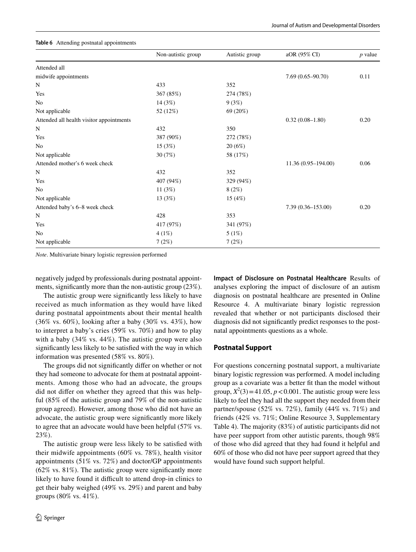|                                          | Non-autistic group | Autistic group | aOR (95% CI)          | $p$ value |
|------------------------------------------|--------------------|----------------|-----------------------|-----------|
| Attended all                             |                    |                |                       |           |
| midwife appointments                     |                    |                | $7.69(0.65 - 90.70)$  | 0.11      |
| N                                        | 433                | 352            |                       |           |
| Yes                                      | 367 (85%)          | 274 (78%)      |                       |           |
| No                                       | 14 (3%)            | 9(3%)          |                       |           |
| Not applicable                           | 52 (12%)           | 69 (20%)       |                       |           |
| Attended all health visitor appointments |                    |                | $0.32(0.08 - 1.80)$   | 0.20      |
| N                                        | 432                | 350            |                       |           |
| Yes                                      | 387 (90%)          | 272 (78%)      |                       |           |
| No                                       | 15 (3%)            | 20(6%)         |                       |           |
| Not applicable                           | 30(7%)             | 58 (17%)       |                       |           |
| Attended mother's 6 week check           |                    |                | 11.36 (0.95-194.00)   | 0.06      |
| N                                        | 432                | 352            |                       |           |
| Yes                                      | 407 (94%)          | 329 (94%)      |                       |           |
| No                                       | 11 $(3%)$          | 8(2%)          |                       |           |
| Not applicable                           | 13 (3%)            | 15 (4%)        |                       |           |
| Attended baby's 6-8 week check           |                    |                | $7.39(0.36 - 153.00)$ | 0.20      |
| N                                        | 428                | 353            |                       |           |
| Yes                                      | 417 (97%)          | 341 (97%)      |                       |           |
| N <sub>o</sub>                           | 4(1%)              | 5(1%)          |                       |           |
| Not applicable                           | 7(2%)              | 7(2%)          |                       |           |

#### <span id="page-9-0"></span>**Table 6** Attending postnatal appointments

*Note*. Multivariate binary logistic regression performed

negatively judged by professionals during postnatal appointments, signifcantly more than the non-autistic group (23%).

The autistic group were signifcantly less likely to have received as much information as they would have liked during postnatal appointments about their mental health (36% vs. 60%), looking after a baby (30% vs. 43%), how to interpret a baby's cries (59% vs. 70%) and how to play with a baby (34% vs. 44%). The autistic group were also signifcantly less likely to be satisfed with the way in which information was presented (58% vs. 80%).

The groups did not signifcantly difer on whether or not they had someone to advocate for them at postnatal appointments. Among those who had an advocate, the groups did not difer on whether they agreed that this was helpful (85% of the autistic group and 79% of the non-autistic group agreed). However, among those who did not have an advocate, the autistic group were signifcantly more likely to agree that an advocate would have been helpful (57% vs. 23%).

The autistic group were less likely to be satisfed with their midwife appointments (60% vs. 78%), health visitor appointments (51% vs. 72%) and doctor/GP appointments (62% vs. 81%). The autistic group were signifcantly more likely to have found it difficult to attend drop-in clinics to get their baby weighed (49% vs. 29%) and parent and baby groups (80% vs. 41%).

**Impact of Disclosure on Postnatal Healthcare** Results of analyses exploring the impact of disclosure of an autism diagnosis on postnatal healthcare are presented in Online Resource 4. A multivariate binary logistic regression revealed that whether or not participants disclosed their diagnosis did not signifcantly predict responses to the postnatal appointments questions as a whole.

#### **Postnatal Support**

For questions concerning postnatal support, a multivariate binary logistic regression was performed. A model including group as a covariate was a better ft than the model without group,  $X^2(3) = 41.05$ ,  $p < 0.001$ . The autistic group were less likely to feel they had all the support they needed from their partner/spouse (52% vs. 72%), family (44% vs. 71%) and friends (42% vs. 71%; Online Resource 3, Supplementary Table 4). The majority (83%) of autistic participants did not have peer support from other autistic parents, though 98% of those who did agreed that they had found it helpful and 60% of those who did not have peer support agreed that they would have found such support helpful.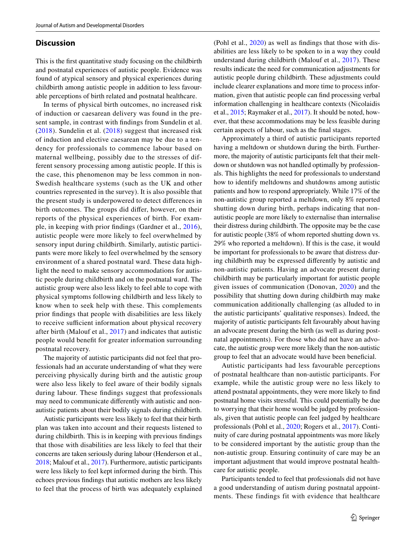## **Discussion**

This is the frst quantitative study focusing on the childbirth and postnatal experiences of autistic people. Evidence was found of atypical sensory and physical experiences during childbirth among autistic people in addition to less favourable perceptions of birth related and postnatal healthcare.

In terms of physical birth outcomes, no increased risk of induction or caesarean delivery was found in the present sample, in contrast with fndings from Sundelin et al. ([2018](#page-14-0)). Sundelin et al. [\(2018](#page-14-0)) suggest that increased risk of induction and elective caesarean may be due to a tendency for professionals to commence labour based on maternal wellbeing, possibly due to the stresses of different sensory processing among autistic people. If this is the case, this phenomenon may be less common in non-Swedish healthcare systems (such as the UK and other countries represented in the survey). It is also possible that the present study is underpowered to detect diferences in birth outcomes. The groups did difer, however, on their reports of the physical experiences of birth. For example, in keeping with prior fndings (Gardner et al., [2016](#page-13-14)), autistic people were more likely to feel overwhelmed by sensory input during childbirth. Similarly, autistic participants were more likely to feel overwhelmed by the sensory environment of a shared postnatal ward. These data highlight the need to make sensory accommodations for autistic people during childbirth and on the postnatal ward. The autistic group were also less likely to feel able to cope with physical symptoms following childbirth and less likely to know when to seek help with these. This complements prior fndings that people with disabilities are less likely to receive sufficient information about physical recovery after birth (Malouf et al., [2017\)](#page-13-2) and indicates that autistic people would beneft for greater information surrounding postnatal recovery.

The majority of autistic participants did not feel that professionals had an accurate understanding of what they were perceiving physically during birth and the autistic group were also less likely to feel aware of their bodily signals during labour. These fndings suggest that professionals may need to communicate diferently with autistic and nonautistic patients about their bodily signals during childbirth.

Autistic participants were less likely to feel that their birth plan was taken into account and their requests listened to during childbirth. This is in keeping with previous fndings that those with disabilities are less likely to feel that their concerns are taken seriously during labour (Henderson et al., [2018;](#page-13-6) Malouf et al., [2017](#page-13-2)). Furthermore, autistic participants were less likely to feel kept informed during the birth. This echoes previous fndings that autistic mothers are less likely to feel that the process of birth was adequately explained (Pohl et al., [2020\)](#page-13-16) as well as fndings that those with disabilities are less likely to be spoken to in a way they could understand during childbirth (Malouf et al., [2017\)](#page-13-2). These results indicate the need for communication adjustments for autistic people during childbirth. These adjustments could include clearer explanations and more time to process information, given that autistic people can fnd processing verbal information challenging in healthcare contexts (Nicolaidis et al., [2015;](#page-13-11) Raymaker et al., [2017\)](#page-13-10). It should be noted, however, that these accommodations may be less feasible during certain aspects of labour, such as the fnal stages.

Approximately a third of autistic participants reported having a meltdown or shutdown during the birth. Furthermore, the majority of autistic participants felt that their meltdown or shutdown was not handled optimally by professionals. This highlights the need for professionals to understand how to identify meltdowns and shutdowns among autistic patients and how to respond appropriately. While 17% of the non-autistic group reported a meltdown, only 8% reported shutting down during birth, perhaps indicating that nonautistic people are more likely to externalise than internalise their distress during childbirth. The opposite may be the case for autistic people (38% of whom reported shutting down vs. 29% who reported a meltdown). If this is the case, it would be important for professionals to be aware that distress during childbirth may be expressed diferently by autistic and non-autistic patients. Having an advocate present during childbirth may be particularly important for autistic people given issues of communication (Donovan, [2020\)](#page-13-15) and the possibility that shutting down during childbirth may make communication additionally challenging (as alluded to in the autistic participants' qualitative responses). Indeed, the majority of autistic participants felt favourably about having an advocate present during the birth (as well as during postnatal appointments). For those who did not have an advocate, the autistic group were more likely than the non-autistic group to feel that an advocate would have been benefcial.

Autistic participants had less favourable perceptions of postnatal healthcare than non-autistic participants. For example, while the autistic group were no less likely to attend postnatal appointments, they were more likely to fnd postnatal home visits stressful. This could potentially be due to worrying that their home would be judged by professionals, given that autistic people can feel judged by healthcare professionals (Pohl et al., [2020](#page-13-16); Rogers et al., [2017](#page-13-13)). Continuity of care during postnatal appointments was more likely to be considered important by the autistic group than the non-autistic group. Ensuring continuity of care may be an important adjustment that would improve postnatal healthcare for autistic people.

Participants tended to feel that professionals did not have a good understanding of autism during postnatal appointments. These findings fit with evidence that healthcare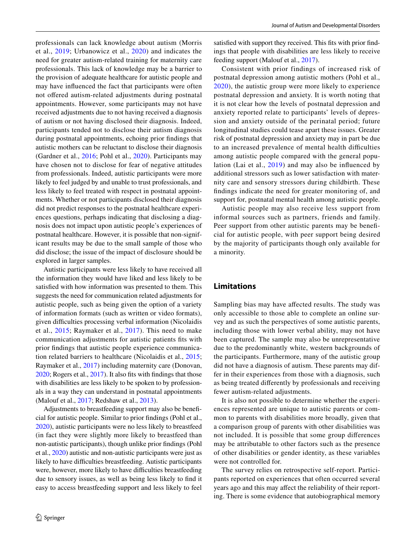professionals can lack knowledge about autism (Morris et al., [2019;](#page-13-12) Urbanowicz et al., [2020](#page-14-1)) and indicates the need for greater autism-related training for maternity care professionals. This lack of knowledge may be a barrier to the provision of adequate healthcare for autistic people and may have infuenced the fact that participants were often not ofered autism-related adjustments during postnatal appointments. However, some participants may not have received adjustments due to not having received a diagnosis of autism or not having disclosed their diagnosis. Indeed, participants tended not to disclose their autism diagnosis during postnatal appointments, echoing prior fndings that autistic mothers can be reluctant to disclose their diagnosis (Gardner et al., [2016](#page-13-14); Pohl et al., [2020](#page-13-16)). Participants may have chosen not to disclose for fear of negative attitudes from professionals. Indeed, autistic participants were more likely to feel judged by and unable to trust professionals, and less likely to feel treated with respect in postnatal appointments. Whether or not participants disclosed their diagnosis did not predict responses to the postnatal healthcare experiences questions, perhaps indicating that disclosing a diagnosis does not impact upon autistic people's experiences of postnatal healthcare. However, it is possible that non-significant results may be due to the small sample of those who did disclose; the issue of the impact of disclosure should be explored in larger samples.

Autistic participants were less likely to have received all the information they would have liked and less likely to be satisfed with how information was presented to them. This suggests the need for communication related adjustments for autistic people, such as being given the option of a variety of information formats (such as written or video formats), given difficulties processing verbal information (Nicolaidis et al., [2015](#page-13-11); Raymaker et al., [2017](#page-13-10)). This need to make communication adjustments for autistic patients fts with prior fndings that autistic people experience communication related barriers to healthcare (Nicolaidis et al., [2015](#page-13-11); Raymaker et al., [2017](#page-13-10)) including maternity care (Donovan, [2020;](#page-13-15) Rogers et al., [2017\)](#page-13-13). It also fts with fndings that those with disabilities are less likely to be spoken to by professionals in a way they can understand in postnatal appointments (Malouf et al., [2017](#page-13-2); Redshaw et al., [2013](#page-13-5)).

Adjustments to breastfeeding support may also be benefcial for autistic people. Similar to prior fndings (Pohl et al., [2020](#page-13-16)), autistic participants were no less likely to breastfeed (in fact they were slightly more likely to breastfeed than non-autistic participants), though unlike prior fndings (Pohl et al., [2020](#page-13-16)) autistic and non-autistic participants were just as likely to have difficulties breastfeeding. Autistic participants were, however, more likely to have difficulties breastfeeding due to sensory issues, as well as being less likely to fnd it easy to access breastfeeding support and less likely to feel

satisfed with support they received. This fts with prior fndings that people with disabilities are less likely to receive feeding support (Malouf et al., [2017\)](#page-13-2).

Consistent with prior findings of increased risk of postnatal depression among autistic mothers (Pohl et al., [2020](#page-13-16)), the autistic group were more likely to experience postnatal depression and anxiety. It is worth noting that it is not clear how the levels of postnatal depression and anxiety reported relate to participants' levels of depression and anxiety outside of the perinatal period; future longitudinal studies could tease apart these issues. Greater risk of postnatal depression and anxiety may in part be due to an increased prevalence of mental health difficulties among autistic people compared with the general population (Lai et al., [2019\)](#page-13-0) and may also be infuenced by additional stressors such as lower satisfaction with maternity care and sensory stressors during childbirth. These fndings indicate the need for greater monitoring of, and support for, postnatal mental health among autistic people.

Autistic people may also receive less support from informal sources such as partners, friends and family. Peer support from other autistic parents may be benefcial for autistic people, with peer support being desired by the majority of participants though only available for a minority.

## **Limitations**

Sampling bias may have afected results. The study was only accessible to those able to complete an online survey and as such the perspectives of some autistic parents, including those with lower verbal ability, may not have been captured. The sample may also be unrepresentative due to the predominantly white, western backgrounds of the participants. Furthermore, many of the autistic group did not have a diagnosis of autism. These parents may differ in their experiences from those with a diagnosis, such as being treated diferently by professionals and receiving fewer autism-related adjustments.

It is also not possible to determine whether the experiences represented are unique to autistic parents or common to parents with disabilities more broadly, given that a comparison group of parents with other disabilities was not included. It is possible that some group diferences may be attributable to other factors such as the presence of other disabilities or gender identity, as these variables were not controlled for.

The survey relies on retrospective self-report. Participants reported on experiences that often occurred several years ago and this may afect the reliability of their reporting. There is some evidence that autobiographical memory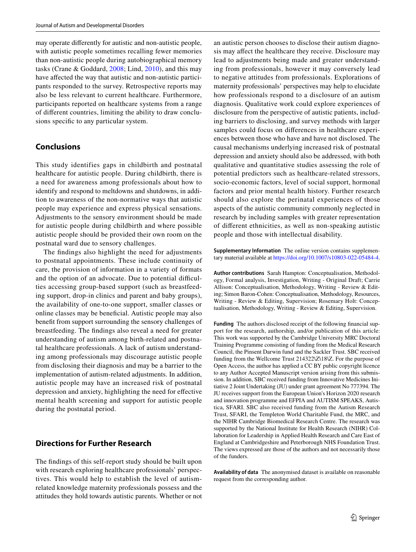may operate diferently for autistic and non-autistic people, with autistic people sometimes recalling fewer memories than non-autistic people during autobiographical memory tasks (Crane & Goddard, [2008](#page-13-21); Lind, [2010](#page-13-22)), and this may have affected the way that autistic and non-autistic participants responded to the survey. Retrospective reports may also be less relevant to current healthcare. Furthermore, participants reported on healthcare systems from a range of diferent countries, limiting the ability to draw conclusions specific to any particular system.

## **Conclusions**

This study identifies gaps in childbirth and postnatal healthcare for autistic people. During childbirth, there is a need for awareness among professionals about how to identify and respond to meltdowns and shutdowns, in addition to awareness of the non-normative ways that autistic people may experience and express physical sensations. Adjustments to the sensory environment should be made for autistic people during childbirth and where possible autistic people should be provided their own room on the postnatal ward due to sensory challenges.

The fndings also highlight the need for adjustments to postnatal appointments. These include continuity of care, the provision of information in a variety of formats and the option of an advocate. Due to potential difficulties accessing group-based support (such as breastfeeding support, drop-in clinics and parent and baby groups), the availability of one-to-one support, smaller classes or online classes may be benefcial. Autistic people may also beneft from support surrounding the sensory challenges of breastfeeding. The fndings also reveal a need for greater understanding of autism among birth-related and postnatal healthcare professionals. A lack of autism understanding among professionals may discourage autistic people from disclosing their diagnosis and may be a barrier to the implementation of autism-related adjustments. In addition, autistic people may have an increased risk of postnatal depression and anxiety, highlighting the need for efective mental health screening and support for autistic people during the postnatal period.

## **Directions for Further Research**

The fndings of this self-report study should be built upon with research exploring healthcare professionals' perspectives. This would help to establish the level of autismrelated knowledge maternity professionals possess and the attitudes they hold towards autistic parents. Whether or not an autistic person chooses to disclose their autism diagnosis may afect the healthcare they receive. Disclosure may lead to adjustments being made and greater understanding from professionals, however it may conversely lead to negative attitudes from professionals. Explorations of maternity professionals' perspectives may help to elucidate how professionals respond to a disclosure of an autism diagnosis. Qualitative work could explore experiences of disclosure from the perspective of autistic patients, including barriers to disclosing, and survey methods with larger samples could focus on diferences in healthcare experiences between those who have and have not disclosed. The causal mechanisms underlying increased risk of postnatal depression and anxiety should also be addressed, with both qualitative and quantitative studies assessing the role of potential predictors such as healthcare-related stressors, socio-economic factors, level of social support, hormonal factors and prior mental health history. Further research should also explore the perinatal experiences of those aspects of the autistic community commonly neglected in research by including samples with greater representation of diferent ethnicities, as well as non-speaking autistic people and those with intellectual disability.

**Supplementary Information** The online version contains supplementary material available at<https://doi.org/10.1007/s10803-022-05484-4>.

**Author contributions** Sarah Hampton: Conceptualisation, Methodology, Formal analysis, Investigation, Writing - Original Draft; Carrie Allison: Conceptualisation, Methodology, Writing - Review & Editing; Simon Baron-Cohen: Conceptualisation, Methodology, Resources, Writing - Review & Editing, Supervision; Rosemary Holt: Conceptualisation, Methodology, Writing - Review & Editing, Supervision.

**Funding** The authors disclosed receipt of the following fnancial support for the research, authorship, and/or publication of this article: This work was supported by the Cambridge University MRC Doctoral Training Programme consisting of funding from the Medical Research Council, the Pinsent Darwin fund and the Sackler Trust. SBC received funding from the Wellcome Trust 214322\Z\18\Z. For the purpose of Open Access, the author has applied a CC BY public copyright licence to any Author Accepted Manuscript version arising from this submission. In addition, SBC received funding from Innovative Medicines Initiative 2 Joint Undertaking (JU) under grant agreement No 777394. The JU receives support from the European Union's Horizon 2020 research and innovation programme and EFPIA and AUTISM SPEAKS, Autistica, SFARI. SBC also received funding from the Autism Research Trust, SFARI, the Templeton World Charitable Fund, the MRC, and the NIHR Cambridge Biomedical Research Centre. The research was supported by the National Institute for Health Research (NIHR) Collaboration for Leadership in Applied Health Research and Care East of England at Cambridgeshire and Peterborough NHS Foundation Trust. The views expressed are those of the authors and not necessarily those of the funders.

**Availability of data** The anonymised dataset is available on reasonable request from the corresponding author.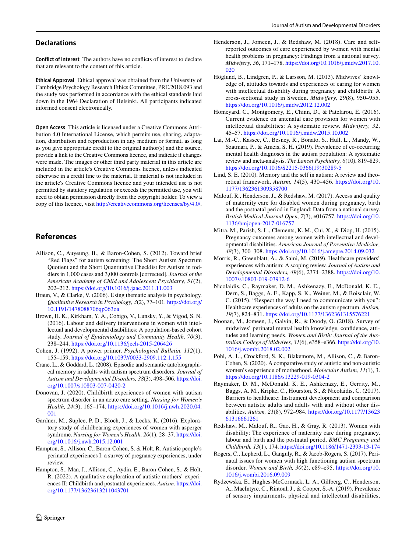**Conflict of interest** The authors have no conficts of interest to declare that are relevant to the content of this article.

**Ethical Approval** Ethical approval was obtained from the University of Cambridge Psychology Research Ethics Committee, PRE.2018.093 and the study was performed in accordance with the ethical standards laid down in the 1964 Declaration of Helsinki. All participants indicated informed consent electronically.

**Open Access** This article is licensed under a Creative Commons Attribution 4.0 International License, which permits use, sharing, adaptation, distribution and reproduction in any medium or format, as long as you give appropriate credit to the original author(s) and the source, provide a link to the Creative Commons licence, and indicate if changes were made. The images or other third party material in this article are included in the article's Creative Commons licence, unless indicated otherwise in a credit line to the material. If material is not included in the article's Creative Commons licence and your intended use is not permitted by statutory regulation or exceeds the permitted use, you will need to obtain permission directly from the copyright holder. To view a copy of this licence, visit <http://creativecommons.org/licenses/by/4.0/>.

## **References**

- <span id="page-13-17"></span>Allison, C., Auyeung, B., & Baron-Cohen, S. (2012). Toward brief "Red Flags" for autism screening: The Short Autism Spectrum Quotient and the Short Quantitative Checklist for Autism in toddlers in 1,000 cases and 3,000 controls [corrected]. *Journal of the American Academy of Child and Adolescent Psychiatry, 51*(2), 202–212.<https://doi.org/10.1016/j.jaac.2011.11.003>
- <span id="page-13-20"></span>Braun, V., & Clarke, V. (2006). Using thematic analysis in psychology. *Qualitative Research in Psychology, 3*(2), 77–101. [https://doi.org/](https://doi.org/10.1191/1478088706qp063oa) [10.1191/1478088706qp063oa](https://doi.org/10.1191/1478088706qp063oa)
- <span id="page-13-3"></span>Brown, H. K., Kirkham, Y. A., Cobigo, V., Lunsky, Y., & Vigod, S. N. (2016). Labour and delivery interventions in women with intellectual and developmental disabilities: A population-based cohort study. *Journal of Epidemiology and Community Health, 70*(3), 238–244.<https://doi.org/10.1136/jech-2015-206426>
- <span id="page-13-19"></span>Cohen, J. (1992). A power primer. *Psychological Bulletin, 112*(1), 155–159.<https://doi.org/10.1037//0033-2909.112.1.155>
- <span id="page-13-21"></span>Crane, L., & Goddard, L. (2008). Episodic and semantic autobiographical memory in adults with autism spectrum disorders. *Journal of Autism and Developmental Disorders, 38*(3), 498–506. [https://doi.](https://doi.org/10.1007/s10803-007-0420-2) [org/10.1007/s10803-007-0420-2](https://doi.org/10.1007/s10803-007-0420-2)
- <span id="page-13-15"></span>Donovan, J. (2020). Childbirth experiences of women with autism spectrum disorder in an acute care setting. *Nursing for Women's Health, 24*(3), 165–174. [https://doi.org/10.1016/j.nwh.2020.04.](https://doi.org/10.1016/j.nwh.2020.04.001) [001](https://doi.org/10.1016/j.nwh.2020.04.001)
- <span id="page-13-14"></span>Gardner, M., Suplee, P. D., Bloch, J., & Lecks, K. (2016). Exploratory study of childbearing experiences of women with asperger syndrome. *Nursing for Women's Health, 20*(1), 28–37. [https://doi.](https://doi.org/10.1016/j.nwh.2015.12.001) [org/10.1016/j.nwh.2015.12.001](https://doi.org/10.1016/j.nwh.2015.12.001)
- Hampton, S., Allison, C., Baron-Cohen, S. & Holt, R. Autistic people's perinatal experiences I: a survey of pregnancy experiences, under review.
- <span id="page-13-18"></span>Hampton, S., Man, J., Allison, C., Aydin, E., Baron-Cohen, S., & Holt, R. (2022). A qualitative exploration of autistic mothers' experiences II: Childbirth and postnatal experiences. *Autism*. [https://doi.](https://doi.org/10.1177/13623613211043701) [org/10.1177/13623613211043701](https://doi.org/10.1177/13623613211043701)
- <span id="page-13-6"></span>Henderson, J., Jomeen, J., & Redshaw, M. (2018). Care and selfreported outcomes of care experienced by women with mental health problems in pregnancy: Findings from a national survey. *Midwifery, 56*, 171–178. [https://doi.org/10.1016/j.midw.2017.10.](https://doi.org/10.1016/j.midw.2017.10.020) [020](https://doi.org/10.1016/j.midw.2017.10.020)
- <span id="page-13-9"></span>Höglund, B., Lindgren, P., & Larsson, M. (2013). Midwives' knowledge of, attitudes towards and experiences of caring for women with intellectual disability during pregnancy and childbirth: A cross-sectional study in Sweden. *Midwifery, 29*(8), 950–955. <https://doi.org/10.1016/j.midw.2012.12.002>
- <span id="page-13-8"></span>Homeyard, C., Montgomery, E., Chinn, D., & Patelarou, E. (2016). Current evidence on antenatal care provision for women with intellectual disabilities: A systematic review. *Midwifery, 32*, 45–57. <https://doi.org/10.1016/j.midw.2015.10.002>
- <span id="page-13-0"></span>Lai, M.-C., Kassee, C., Besney, R., Bonato, S., Hull, L., Mandy, W., Szatmari, P., & Ameis, S. H. (2019). Prevalence of co-occurring mental health diagnoses in the autism population: A systematic review and meta-analysis. *The Lancet Psychiatry, 6*(10), 819–829. [https://doi.org/10.1016/S2215-0366\(19\)30289-5](https://doi.org/10.1016/S2215-0366(19)30289-5)
- <span id="page-13-22"></span>Lind, S. E. (2010). Memory and the self in autism: A review and theoretical framework. *Autism, 14*(5), 430–456. [https://doi.org/10.](https://doi.org/10.1177/1362361309358700) [1177/1362361309358700](https://doi.org/10.1177/1362361309358700)
- <span id="page-13-2"></span>Malouf, R., Henderson, J., & Redshaw, M. (2017). Access and quality of maternity care for disabled women during pregnancy, birth and the postnatal period in England: Data from a national survey. *British Medical Journal Open, 7*(7), e016757. [https://doi.org/10.](https://doi.org/10.1136/bmjopen-2017-016757) [1136/bmjopen-2017-016757](https://doi.org/10.1136/bmjopen-2017-016757)
- <span id="page-13-4"></span>Mitra, M., Parish, S. L., Clements, K. M., Cui, X., & Diop, H. (2015). Pregnancy outcomes among women with intellectual and developmental disabilities. *American Journal of Preventive Medicine, 48*(3), 300–308.<https://doi.org/10.1016/j.amepre.2014.09.032>
- <span id="page-13-12"></span>Morris, R., Greenblatt, A., & Saini, M. (2019). Healthcare providers' experiences with autism: A scoping review. *Journal of Autism and Developmental Disorders, 49*(6), 2374–2388. [https://doi.org/10.](https://doi.org/10.1007/s10803-019-03912-6) [1007/s10803-019-03912-6](https://doi.org/10.1007/s10803-019-03912-6)
- <span id="page-13-11"></span>Nicolaidis, C., Raymaker, D. M., Ashkenazy, E., McDonald, K. E., Dern, S., Baggs, A. E., Kapp, S. K., Weiner, M., & Boisclair, W. C. (2015). "Respect the way I need to communicate with you": Healthcare experiences of adults on the autism spectrum. *Autism, 19*(7), 824–831.<https://doi.org/10.1177/1362361315576221>
- <span id="page-13-7"></span>Noonan, M., Jomeen, J., Galvin, R., & Doody, O. (2018). Survey of midwives' perinatal mental health knowledge, confdence, attitudes and learning needs. *Women and Birth: Journal of the Australian College of Midwives, 31*(6), e358–e366. [https://doi.org/10.](https://doi.org/10.1016/j.wombi.2018.02.002) [1016/j.wombi.2018.02.002](https://doi.org/10.1016/j.wombi.2018.02.002)
- <span id="page-13-16"></span>Pohl, A. L., Crockford, S. K., Blakemore, M., Allison, C., & Baron-Cohen, S. (2020). A comparative study of autistic and non-autistic women's experience of motherhood. *Molecular Autism, 11*(1), 3. <https://doi.org/10.1186/s13229-019-0304-2>
- <span id="page-13-10"></span>Raymaker, D. M., McDonald, K. E., Ashkenazy, E., Gerrity, M., Baggs, A. M., Kripke, C., Hourston, S., & Nicolaidis, C. (2017). Barriers to healthcare: Instrument development and comparison between autistic adults and adults with and without other disabilities. *Autism, 21*(8), 972–984. [https://doi.org/10.1177/13623](https://doi.org/10.1177/1362361316661261) [61316661261](https://doi.org/10.1177/1362361316661261)
- <span id="page-13-5"></span>Redshaw, M., Malouf, R., Gao, H., & Gray, R. (2013). Women with disability: The experience of maternity care during pregnancy, labour and birth and the postnatal period. *BMC Pregnancy and Childbirth, 13*(1), 174. <https://doi.org/10.1186/1471-2393-13-174>
- <span id="page-13-13"></span>Rogers, C., Lepherd, L., Ganguly, R., & Jacob-Rogers, S. (2017). Perinatal issues for women with high functioning autism spectrum disorder. *Women and Birth, 30*(2), e89–e95. [https://doi.org/10.](https://doi.org/10.1016/j.wombi.2016.09.009) [1016/j.wombi.2016.09.009](https://doi.org/10.1016/j.wombi.2016.09.009)
- <span id="page-13-1"></span>Rydzewska, E., Hughes-McCormack, L. A., Gillberg, C., Henderson, A., MacIntyre, C., Rintoul, J., & Cooper, S.-A. (2019). Prevalence of sensory impairments, physical and intellectual disabilities,